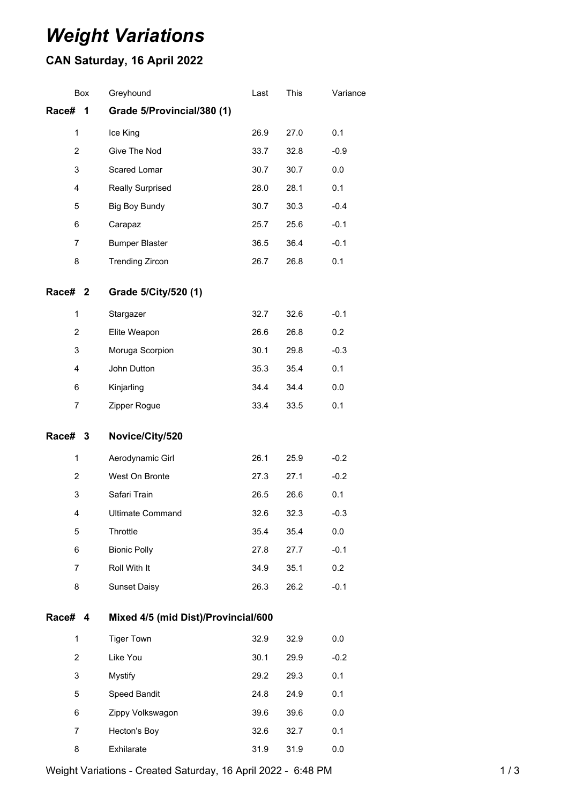## *Weight Variations*

## **CAN Saturday, 16 April 2022**

|                    | Box | Greyhound                           | Last | This | Variance |  |  |
|--------------------|-----|-------------------------------------|------|------|----------|--|--|
| Race#              | 1   | Grade 5/Provincial/380 (1)          |      |      |          |  |  |
| 1                  |     | Ice King                            | 26.9 | 27.0 | 0.1      |  |  |
| $\overline{c}$     |     | Give The Nod                        | 33.7 | 32.8 | $-0.9$   |  |  |
| 3                  |     | Scared Lomar                        | 30.7 | 30.7 | 0.0      |  |  |
| 4                  |     | <b>Really Surprised</b>             | 28.0 | 28.1 | 0.1      |  |  |
| 5                  |     | <b>Big Boy Bundy</b>                | 30.7 | 30.3 | $-0.4$   |  |  |
| 6                  |     | Carapaz                             | 25.7 | 25.6 | $-0.1$   |  |  |
| 7                  |     | <b>Bumper Blaster</b>               | 36.5 | 36.4 | $-0.1$   |  |  |
| 8                  |     | <b>Trending Zircon</b>              | 26.7 | 26.8 | 0.1      |  |  |
| Race# <sub>2</sub> |     | Grade 5/City/520 (1)                |      |      |          |  |  |
| 1                  |     | Stargazer                           | 32.7 | 32.6 | $-0.1$   |  |  |
| 2                  |     | Elite Weapon                        | 26.6 | 26.8 | 0.2      |  |  |
| 3                  |     | Moruga Scorpion                     | 30.1 | 29.8 | $-0.3$   |  |  |
| 4                  |     | John Dutton                         | 35.3 | 35.4 | 0.1      |  |  |
| 6                  |     | Kinjarling                          | 34.4 | 34.4 | 0.0      |  |  |
| 7                  |     | Zipper Rogue                        | 33.4 | 33.5 | 0.1      |  |  |
| Race# 3            |     | Novice/City/520                     |      |      |          |  |  |
| 1                  |     | Aerodynamic Girl                    | 26.1 | 25.9 | $-0.2$   |  |  |
| 2                  |     | West On Bronte                      | 27.3 | 27.1 | $-0.2$   |  |  |
| 3                  |     | Safari Train                        | 26.5 | 26.6 | 0.1      |  |  |
| 4                  |     | <b>Ultimate Command</b>             | 32.6 | 32.3 | $-0.3$   |  |  |
| 5                  |     | Throttle                            | 35.4 | 35.4 | 0.0      |  |  |
| 6                  |     | <b>Bionic Polly</b>                 | 27.8 | 27.7 | $-0.1$   |  |  |
| 7                  |     | Roll With It                        | 34.9 | 35.1 | 0.2      |  |  |
| 8                  |     | <b>Sunset Daisy</b>                 | 26.3 | 26.2 | $-0.1$   |  |  |
| <b>Race#</b>       | 4   | Mixed 4/5 (mid Dist)/Provincial/600 |      |      |          |  |  |
| 1                  |     | <b>Tiger Town</b>                   | 32.9 | 32.9 | 0.0      |  |  |
| $\overline{2}$     |     | Like You                            | 30.1 | 29.9 | $-0.2$   |  |  |
| 3                  |     | <b>Mystify</b>                      | 29.2 | 29.3 | 0.1      |  |  |
| 5                  |     | Speed Bandit                        | 24.8 | 24.9 | 0.1      |  |  |
| 6                  |     | Zippy Volkswagon                    | 39.6 | 39.6 | 0.0      |  |  |
| 7                  |     | Hecton's Boy                        | 32.6 | 32.7 | 0.1      |  |  |
| 8                  |     | Exhilarate                          | 31.9 | 31.9 | 0.0      |  |  |

Weight Variations - Created Saturday, 16 April 2022 - 6:48 PM 1 / 3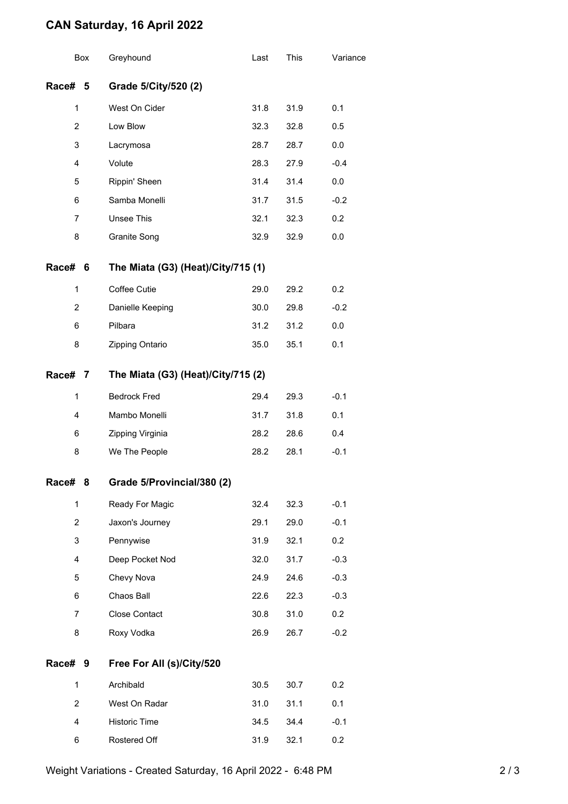## **CAN Saturday, 16 April 2022**

|                         | Box                                     | Greyhound                          | Last | This | Variance |  |  |
|-------------------------|-----------------------------------------|------------------------------------|------|------|----------|--|--|
| Race#                   | 5                                       | Grade 5/City/520 (2)               |      |      |          |  |  |
| $\mathbf{1}$            |                                         | West On Cider                      | 31.8 | 31.9 | 0.1      |  |  |
| $\overline{2}$          |                                         | Low Blow                           | 32.3 | 32.8 | 0.5      |  |  |
| 3                       |                                         | Lacrymosa                          | 28.7 | 28.7 | 0.0      |  |  |
| 4                       |                                         | Volute                             | 28.3 | 27.9 | $-0.4$   |  |  |
| 5                       |                                         | Rippin' Sheen                      | 31.4 | 31.4 | 0.0      |  |  |
| 6                       |                                         | Samba Monelli                      | 31.7 | 31.5 | $-0.2$   |  |  |
| 7                       |                                         | <b>Unsee This</b>                  | 32.1 | 32.3 | 0.2      |  |  |
| 8                       |                                         | <b>Granite Song</b>                | 32.9 | 32.9 | 0.0      |  |  |
| Race#                   | The Miata (G3) (Heat)/City/715 (1)<br>6 |                                    |      |      |          |  |  |
| $\mathbf{1}$            |                                         | Coffee Cutie                       | 29.0 | 29.2 | 0.2      |  |  |
| $\overline{c}$          |                                         | Danielle Keeping                   | 30.0 | 29.8 | $-0.2$   |  |  |
| 6                       |                                         | Pilbara                            | 31.2 | 31.2 | $0.0\,$  |  |  |
| 8                       |                                         | Zipping Ontario                    | 35.0 | 35.1 | 0.1      |  |  |
| Race#                   | 7                                       | The Miata (G3) (Heat)/City/715 (2) |      |      |          |  |  |
| 1                       |                                         | <b>Bedrock Fred</b>                | 29.4 | 29.3 | $-0.1$   |  |  |
| 4                       |                                         | Mambo Monelli                      | 31.7 | 31.8 | 0.1      |  |  |
| 6                       |                                         | Zipping Virginia                   | 28.2 | 28.6 | 0.4      |  |  |
| 8                       |                                         | We The People                      | 28.2 | 28.1 | $-0.1$   |  |  |
| Race#                   | 8                                       | Grade 5/Provincial/380 (2)         |      |      |          |  |  |
| $\mathbf{1}$            |                                         | Ready For Magic                    | 32.4 | 32.3 | $-0.1$   |  |  |
| $\overline{2}$          |                                         | Jaxon's Journey                    | 29.1 | 29.0 | $-0.1$   |  |  |
| 3                       |                                         | Pennywise                          | 31.9 | 32.1 | 0.2      |  |  |
| $\overline{\mathbf{4}}$ |                                         | Deep Pocket Nod                    | 32.0 | 31.7 | $-0.3$   |  |  |
| 5                       |                                         | Chevy Nova                         | 24.9 | 24.6 | $-0.3$   |  |  |
| 6                       |                                         | Chaos Ball                         | 22.6 | 22.3 | $-0.3$   |  |  |
| $\overline{7}$          |                                         | <b>Close Contact</b>               | 30.8 | 31.0 | 0.2      |  |  |
| 8                       |                                         | Roxy Vodka                         | 26.9 | 26.7 | $-0.2$   |  |  |
| Race#                   | 9                                       | Free For All (s)/City/520          |      |      |          |  |  |
| $\mathbf{1}$            |                                         | Archibald                          | 30.5 | 30.7 | 0.2      |  |  |
| $\overline{2}$          |                                         | West On Radar                      | 31.0 | 31.1 | 0.1      |  |  |
| 4                       |                                         | Historic Time                      | 34.5 | 34.4 | $-0.1$   |  |  |
| 6                       |                                         | Rostered Off                       | 31.9 | 32.1 | 0.2      |  |  |